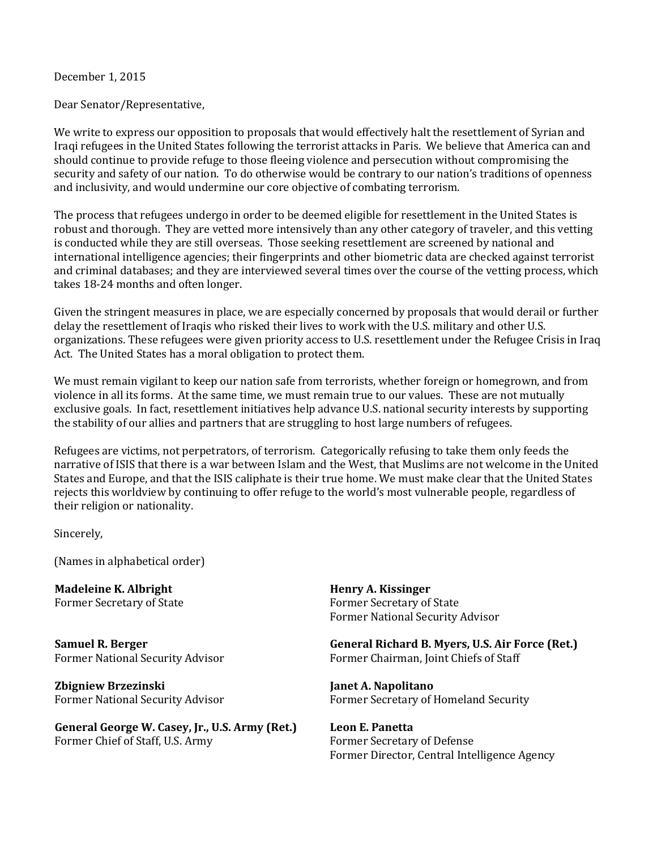December 1, 2015

Dear Senator/Representative,

We write to express our opposition to proposals that would effectively halt the resettlement of Syrian and Iraqi refugees in the United States following the terrorist attacks in Paris. We believe that America can and should continue to provide refuge to those fleeing violence and persecution without compromising the security and safety of our nation. To do otherwise would be contrary to our nation's traditions of openness and inclusivity, and would undermine our core objective of combating terrorism.

The process that refugees undergo in order to be deemed eligible for resettlement in the United States is robust and thorough. They are vetted more intensively than any other category of traveler, and this vetting is conducted while they are still overseas. Those seeking resettlement are screened by national and international intelligence agencies; their fingerprints and other biometric data are checked against terrorist and criminal databases; and they are interviewed several times over the course of the vetting process, which takes 18-24 months and often longer.

Given the stringent measures in place, we are especially concerned by proposals that would derail or further delay the resettlement of Iraqis who risked their lives to work with the U.S. military and other U.S. organizations. These refugees were given priority access to U.S. resettlement under the Refugee Crisis in Iraq Act. The United States has a moral obligation to protect them.

We must remain vigilant to keep our nation safe from terrorists, whether foreign or homegrown, and from violence in all its forms. At the same time, we must remain true to our values. These are not mutually exclusive goals. In fact, resettlement initiatives help advance U.S. national security interests by supporting the stability of our allies and partners that are struggling to host large numbers of refugees.

Refugees are victims, not perpetrators, of terrorism. Categorically refusing to take them only feeds the narrative of ISIS that there is a war between Islam and the West, that Muslims are not welcome in the United States and Europe, and that the ISIS caliphate is their true home. We must make clear that the United States rejects this worldview by continuing to offer refuge to the world's most vulnerable people, regardless of their religion or nationality.

Sincerely,

(Names in alphabetical order)

**Madeleine K. Albright** Former Secretary of State

**Samuel R. Berger** Former National Security Advisor

**Zbigniew Brzezinski** Former National Security Advisor

**General George W. Casey, Jr., U.S. Army (Ret.)** Former Chief of Staff, U.S. Army

**Henry A. Kissinger** Former Secretary of State Former National Security Advisor

**General Richard B. Myers, U.S. Air Force (Ret.)** Former Chairman, Joint Chiefs of Staff

**Janet A. Napolitano** Former Secretary of Homeland Security

**Leon E. Panetta** Former Secretary of Defense Former Director, Central Intelligence Agency